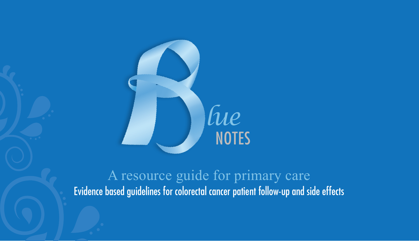

A resource guide for primary care Evidence based guidelines for colorectal cancer patient follow-up and side effects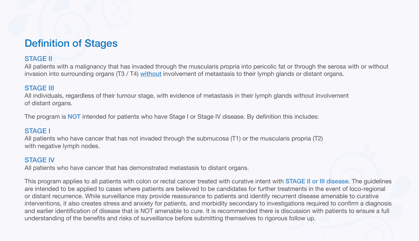## Definition of Stages

### STAGE II

All patients with a malignancy that has invaded through the muscularis propria into pericolic fat or through the serosa with or without invasion into surrounding organs (T3 / T4) without involvement of metastasis to their lymph glands or distant organs.

#### STAGE III

All individuals, regardless of their tumour stage, with evidence of metastasis in their lymph glands without involvement of distant organs.

The program is **NOT** intended for patients who have Stage I or Stage IV disease. By definition this includes:

#### STAGE I

All patients who have cancer that has not invaded through the submucosa (T1) or the muscularis propria (T2) with negative lymph nodes.

#### STAGE IV

All patients who have cancer that has demonstrated metastasis to distant organs.

This program applies to all patients with colon or rectal cancer treated with curative intent with STAGE II or III disease. The guidelines are intended to be applied to cases where patients are believed to be candidates for further treatments in the event of loco-regional or distant recurrence. While surveillance may provide reassurance to patients and identify recurrent disease amenable to curative interventions, it also creates stress and anxiety for patients, and morbidity secondary to investigations required to confirm a diagnosis and earlier identification of disease that is NOT amenable to cure. It is recommended there is discussion with patients to ensure a full understanding of the benefits and risks of surveillance before submitting themselves to rigorous follow up.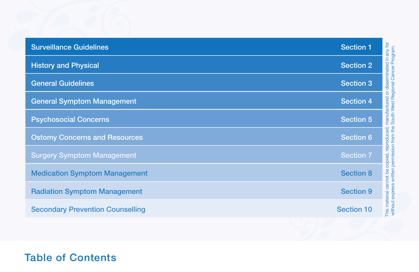| <b>Surveillance Guidelines</b>          | ś<br><b>Section 1</b>                       |
|-----------------------------------------|---------------------------------------------|
| <b>History and Physical</b>             | <b>Section 2</b>                            |
| <b>General Guidelines</b>               | <b>Section 3</b><br>ەء.<br>ئ                |
| <b>General Symptom Management</b>       | <b>Section 4</b>                            |
| <b>Psychosocial Concerns</b>            | <b>Section 5</b>                            |
| <b>Ostomy Concerns and Resources</b>    | <b>Section 6</b>                            |
| <b>Surgery Symptom Management</b>       | <b>Section 7</b>                            |
| <b>Medication Symptom Management</b>    | <b>Section 8</b>                            |
| <b>Radiation Symptom Management</b>     | This material cannot be<br><b>Section 9</b> |
| <b>Secondary Prevention Counselling</b> | <b>Section 10</b>                           |

This material cannot be copied, reproduced, manufactured or disseminated in any for instructions commercial conditions of the condition of the South West Regional Cancer Program.<br>Without express written permission from the South West Regional Cancer Program. without express written permission from the South West Regional Cancer Program.

Table of Contents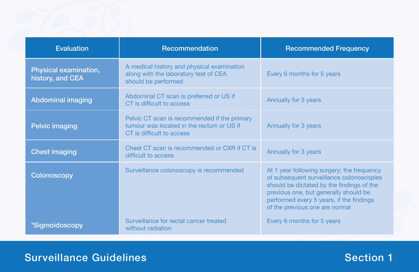| <b>Evaluation</b>                         | Recommendation                                                                                                         | <b>Recommended Frequency</b>                                                                                                                                                                                                                               |
|-------------------------------------------|------------------------------------------------------------------------------------------------------------------------|------------------------------------------------------------------------------------------------------------------------------------------------------------------------------------------------------------------------------------------------------------|
| Physical examination,<br>history, and CEA | A medical history and physical examination<br>along with the laboratory test of CEA<br>should be performed             | Every 6 months for 5 years                                                                                                                                                                                                                                 |
| <b>Abdominal imaging</b>                  | Abdominal CT scan is preferred or US if<br>CT is difficult to access                                                   | Annually for 3 years                                                                                                                                                                                                                                       |
| <b>Pelvic imaging</b>                     | Pelvic CT scan is recommended if the primary<br>tumour was located in the rectum or US if<br>CT is difficult to access | Annually for 3 years                                                                                                                                                                                                                                       |
| <b>Chest imaging</b>                      | Chest CT scan is recommended or CXR if CT is<br>difficult to access                                                    | Annually for 3 years                                                                                                                                                                                                                                       |
| Colonoscopy                               | Surveillance colonoscopy is recommended                                                                                | At 1 year following surgery; the frequency<br>of subsequent surveillance colonoscopies<br>should be dictated by the findings of the<br>previous one, but generally should be<br>performed every 5 years, if the findings<br>of the previous one are normal |
| *Sigmoidoscopy                            | Surveillance for rectal cancer treated<br>without radiation                                                            | Every 6 months for 5 years                                                                                                                                                                                                                                 |

# Surveillance Guidelines and Section 1 and Section 1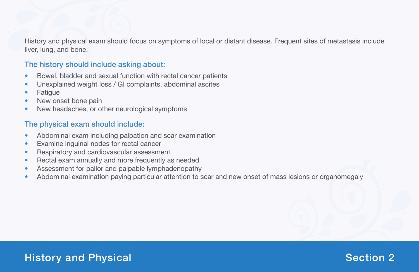History and physical exam should focus on symptoms of local or distant disease. Frequent sites of metastasis include liver, lung, and bone.

### The history should include asking about:

- Bowel, bladder and sexual function with rectal cancer patients
- Unexplained weight loss / GI complaints, abdominal ascites
- Fatigue
- New onset bone pain
- New headaches, or other neurological symptoms

### The physical exam should include:

- Abdominal exam including palpation and scar examination
- **•** Examine inguinal nodes for rectal cancer
- Respiratory and cardiovascular assessment
- Rectal exam annually and more frequently as needed
- Assessment for pallor and palpable lymphadenopathy
- Abdominal examination paying particular attention to scar and new onset of mass lesions or organomegaly

## History and Physical Anti-Section 2 and 2 and 2 and 2 and 2 and 2 and 2 and 2 and 2 and 2 and 2 and 2 and 2 and 2 and 2 and 2 and 2 and 2 and 2 and 2 and 2 and 2 and 2 and 2 and 2 and 2 and 2 and 2 and 2 and 2 and 2 and 2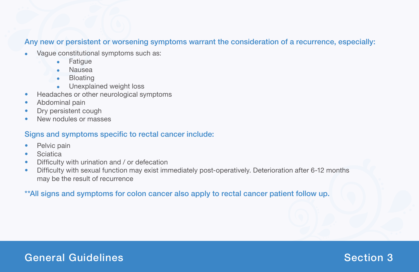#### Any new or persistent or worsening symptoms warrant the consideration of a recurrence, especially:

- Vague constitutional symptoms such as:
	- Fatigue
	- **Nausea**
	- Bloating
	- Unexplained weight loss
- Headaches or other neurological symptoms
- Abdominal pain
- Dry persistent cough
- New nodules or masses

### Signs and symptoms specific to rectal cancer include:

- Pelvic pain
- **•** Sciatica
- Difficulty with urination and / or defecation
- Difficulty with sexual function may exist immediately post-operatively. Deterioration after 6-12 months may be the result of recurrence

### \*\*All signs and symptoms for colon cancer also apply to rectal cancer patient follow up.

## General Guidelines and Section 3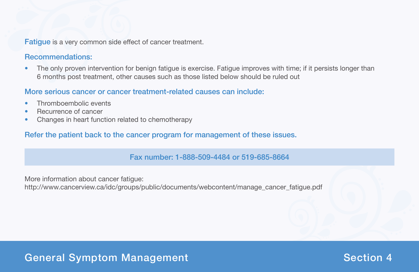Fatigue is a very common side effect of cancer treatment.

### Recommendations:

• The only proven intervention for benign fatigue is exercise. Fatigue improves with time; if it persists longer than 6 months post treatment, other causes such as those listed below should be ruled out

### More serious cancer or cancer treatment-related causes can include:

- Thromboembolic events
- Recurrence of cancer
- Changes in heart function related to chemotherapy

### Refer the patient back to the cancer program for management of these issues.

#### Fax number: 1-888-509-4484 or 519-685-8664

More information about cancer fatigue: http://www.cancerview.ca/idc/groups/public/documents/webcontent/manage\_cancer\_fatigue.pdf

## General Symptom Management National Section 4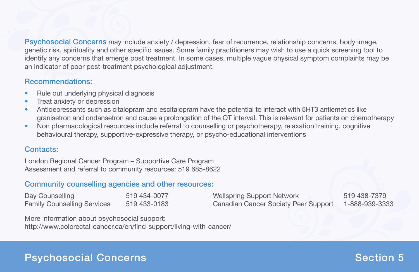Psychosocial Concerns may include anxiety / depression, fear of recurrence, relationship concerns, body image, genetic risk, spirituality and other specific issues. Some family practitioners may wish to use a quick screening tool to identify any concerns that emerge post treatment. In some cases, multiple vague physical symptom complaints may be an indicator of poor post-treatment psychological adjustment.

### Recommendations:

- Rule out underlying physical diagnosis
- Treat anxiety or depression
- Antidepressants such as citalopram and escitalopram have the potential to interact with 5HT3 antiemetics like granisetron and ondansetron and cause a prolongation of the QT interval. This is relevant for patients on chemotherapy
- Non pharmacological resources include referral to counselling or psychotherapy, relaxation training, cognitive behavioural therapy, supportive-expressive therapy, or psycho-educational interventions

### Contacts:

London Regional Cancer Program – Supportive Care Program Assessment and referral to community resources: 519 685-8622

### Community counselling agencies and other resources:

| Day Counselling                    | 519 434-0077 | <b>Wellspring Support Network</b>    | 519 438-7379   |
|------------------------------------|--------------|--------------------------------------|----------------|
| <b>Family Counselling Services</b> | 519 433-0183 | Canadian Cancer Society Peer Support | 1-888-939-3333 |

More information about psychosocial support: http://www.colorectal-cancer.ca/en/find-support/living-with-cancer/

# Psychosocial Concerns Network is a section 5  $\sim$  Section 5  $\sim$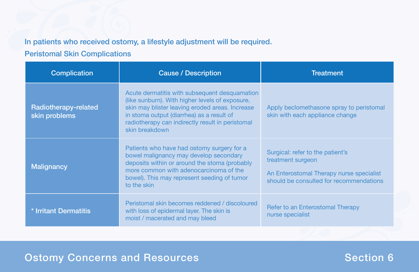### In patients who received ostomy, a lifestyle adjustment will be required.

### Peristomal Skin Complications

| <b>Complication</b>                   | <b>Cause / Description</b>                                                                                                                                                                                                                                             | <b>Treatment</b>                                                                                                                             |
|---------------------------------------|------------------------------------------------------------------------------------------------------------------------------------------------------------------------------------------------------------------------------------------------------------------------|----------------------------------------------------------------------------------------------------------------------------------------------|
| Radiotherapy-related<br>skin problems | Acute dermatitis with subsequent desquamation<br>(like sunburn). With higher levels of exposure,<br>skin may blister leaving eroded areas. Increase<br>in stoma output (diarrhea) as a result of<br>radiotherapy can indirectly result in peristomal<br>skin breakdown | Apply beclomethasone spray to peristomal<br>skin with each appliance change                                                                  |
| <b>Malignancy</b>                     | Patients who have had ostomy surgery for a<br>bowel malignancy may develop secondary<br>deposits within or around the stoma (probably<br>more common with adenocarcinoma of the<br>bowel). This may represent seeding of tumor<br>to the skin                          | Surgical: refer to the patient's<br>treatment surgeon<br>An Enterostomal Therapy nurse specialist<br>should be consulted for recommendations |
| * Irritant Dermatitis                 | Peristomal skin becomes reddened / discoloured<br>with loss of epidermal layer. The skin is<br>moist / macerated and may bleed                                                                                                                                         | Refer to an Enterostomal Therapy<br>nurse specialist                                                                                         |

## Ostomy Concerns and Resources and Section 6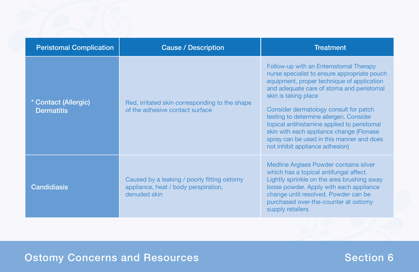| <b>Peristomal Complication</b>            | <b>Cause / Description</b>                                                                          | <b>Treatment</b>                                                                                                                                                                                                                                                                                                                                                                                                                                                          |
|-------------------------------------------|-----------------------------------------------------------------------------------------------------|---------------------------------------------------------------------------------------------------------------------------------------------------------------------------------------------------------------------------------------------------------------------------------------------------------------------------------------------------------------------------------------------------------------------------------------------------------------------------|
| * Contact (Allergic)<br><b>Dermatitis</b> | Red, irritated skin corresponding to the shape<br>of the adhesive contact surface                   | Follow-up with an Enterostomal Therapy<br>nurse specialist to ensure appropriate pouch<br>equipment, proper technique of application<br>and adequate care of stoma and peristomal<br>skin is taking place<br>Consider dermatology consult for patch<br>testing to determine allergen. Consider<br>topical antihistamine applied to peristomal<br>skin with each appliance change (Flonase<br>spray can be used in this manner and does<br>not inhibit appliance adhesion) |
| <b>Candidiasis</b>                        | Caused by a leaking / poorly fitting ostomy<br>appliance, heat / body perspiration,<br>denuded skin | Medline Arglaes Powder contains silver<br>which has a topical antifungal affect.<br>Lightly sprinkle on the area brushing away<br>loose powder. Apply with each appliance<br>change until resolved. Powder can be<br>purchased over-the-counter at ostomy<br>supply retailers                                                                                                                                                                                             |

# Ostomy Concerns and Resources and Section 6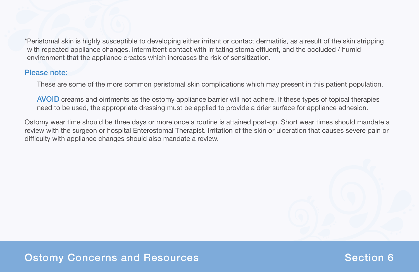\*Peristomal skin is highly susceptible to developing either irritant or contact dermatitis, as a result of the skin stripping with repeated appliance changes, intermittent contact with irritating stoma effluent, and the occluded / humid environment that the appliance creates which increases the risk of sensitization.

#### Please note:

These are some of the more common peristomal skin complications which may present in this patient population.

AVOID creams and ointments as the ostomy appliance barrier will not adhere. If these types of topical therapies need to be used, the appropriate dressing must be applied to provide a drier surface for appliance adhesion.

Ostomy wear time should be three days or more once a routine is attained post-op. Short wear times should mandate a review with the surgeon or hospital Enterostomal Therapist. Irritation of the skin or ulceration that causes severe pain or difficulty with appliance changes should also mandate a review.

## Ostomy Concerns and Resources Network Concerns and Resources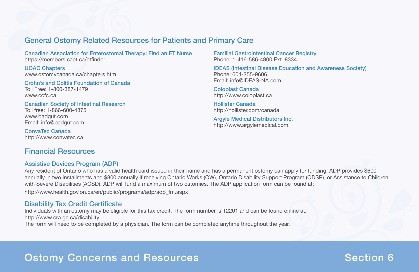#### General Ostomy Related Resources for Patients and Primary Care

Canadian Association for Enterostomal Therapy: Find an ET Nurse https://members.caet.ca/etfinder

UOAC Chapters www.ostomycanada.ca/chapters.htm

Crohn's and Colitis Foundation of Canada Toll Free: 1-800-387-1479 www.ccfc.ca

Canadian Society of Intestinal Research Toll free: 1-866-600-4875 www.badgut.com Email: info@badgut.com

ConvaTec Canada http://www.convatec.ca

### Financial Resources

#### Assistive Devices Program (ADP)

Any resident of Ontario who has a valid health card issued in their name and has a permanent ostomy can apply for funding. ADP provides \$600 annually in two installments and \$800 annually if receiving Ontario Works (OW), Ontario Disability Support Program (ODSP), or Assistance to Children with Severe Disabilities (ACSD). ADP will fund a maximum of two ostomies. The ADP application form can be found at:

http://www.health.gov.on.ca/en/public/programs/adp/adp\_fm.aspx

#### Disability Tax Credit Certificate

Individuals with an ostomy may be eligible for this tax credit. The form number is T2201 and can be found online at: http://www.cra.gc.ca/disability

The form will need to be completed by a physician. The form can be completed anytime throughout the year.

Familial Gastrointestinal Cancer Registry Phone: 1-416-586-4800 Ext. 8334

IDEAS (Intestinal Disease Education and Awareness Society) Phone: 604-255-9606 Email: info@IDEAS-NA.com

Coloplast Canada http://www.coloplast.ca

Hollister Canada http://hollister.com/canada

Argyle Medical Distributors Inc. http://www.argylemedical.com

# Ostomy Concerns and Resources Network Concerns and Resources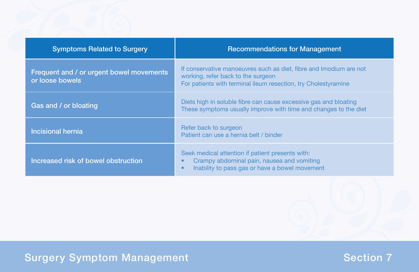| <b>Symptoms Related to Surgery</b>                          | <b>Recommendations for Management</b>                                                                                                                                      |
|-------------------------------------------------------------|----------------------------------------------------------------------------------------------------------------------------------------------------------------------------|
| Frequent and / or urgent bowel movements<br>or loose bowels | If conservative manoeuvres such as diet, fibre and Imodium are not<br>working, refer back to the surgeon<br>For patients with terminal ileum resection, try Cholestyramine |
| Gas and / or bloating                                       | Diets high in soluble fibre can cause excessive gas and bloating<br>These symptoms usually improve with time and changes to the diet                                       |
| <b>Incisional hernia</b>                                    | Refer back to surgeon<br>Patient can use a hernia belt / binder                                                                                                            |
| Increased risk of bowel obstruction                         | Seek medical attention if patient presents with:<br>Crampy abdominal pain, nausea and vomiting<br>Inability to pass gas or have a bowel movement                           |

# Surgery Symptom Management Nation 2008 Section 7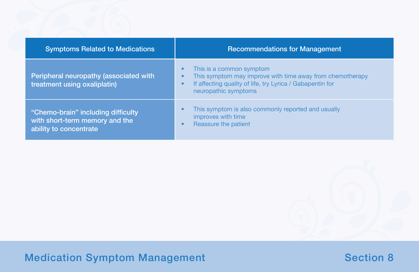| <b>Symptoms Related to Medications</b>                                                         | <b>Recommendations for Management</b>                                                                                                                                                             |
|------------------------------------------------------------------------------------------------|---------------------------------------------------------------------------------------------------------------------------------------------------------------------------------------------------|
| Peripheral neuropathy (associated with<br>treatment using oxaliplatin)                         | This is a common symptom<br>C<br>This symptom may improve with time away from chemotherapy<br>О<br>If affecting quality of life, try Lyrica / Gabapentin for<br>$\bullet$<br>neuropathic symptoms |
| "Chemo-brain" including difficulty<br>with short-term memory and the<br>ability to concentrate | This symptom is also commonly reported and usually<br>improves with time<br>Reassure the patient<br>c                                                                                             |

**Medication Symptom Management Section 8 and Section 8 and Section 8 and Section 8 and Section 8 and Section 8 and Section 8 and Section 8 and Section 8 and Section 8 and Section 8 and Section 8 and Section 8 and Section 8**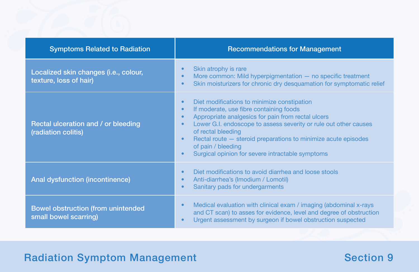| <b>Symptoms Related to Radiation</b>                               | <b>Recommendations for Management</b>                                                                                                                                                                                                                                                                                                                                                                                                               |
|--------------------------------------------------------------------|-----------------------------------------------------------------------------------------------------------------------------------------------------------------------------------------------------------------------------------------------------------------------------------------------------------------------------------------------------------------------------------------------------------------------------------------------------|
| Localized skin changes (i.e., colour,<br>texture, loss of hair)    | Skin atrophy is rare<br>More common: Mild hyperpigmentation $-$ no specific treatment<br>Skin moisturizers for chronic dry desquamation for symptomatic relief<br>$\bullet$                                                                                                                                                                                                                                                                         |
| Rectal ulceration and / or bleeding<br>(radiation colitis)         | Diet modifications to minimize constipation<br>If moderate, use fibre containing foods<br>$\bullet$<br>Appropriate analgesics for pain from rectal ulcers<br>$\bullet$<br>Lower G.I. endoscope to assess severity or rule out other causes<br>$\bullet$<br>of rectal bleeding<br>Rectal route – steroid preparations to minimize acute episodes<br>$\bullet$<br>of pain / bleeding<br>Surgical opinion for severe intractable symptoms<br>$\bullet$ |
| <b>Anal dysfunction (incontinence)</b>                             | Diet modifications to avoid diarrhea and loose stools<br>$\bullet$<br>Anti-diarrhea's (Imodium / Lomotil)<br>$\bullet$<br>Sanitary pads for undergarments<br>$\bullet$                                                                                                                                                                                                                                                                              |
| <b>Bowel obstruction (from unintended</b><br>small bowel scarring) | Medical evaluation with clinical exam / imaging (abdominal x-rays<br>$\bullet$<br>and CT scan) to asses for evidence, level and degree of obstruction<br>Urgent assessment by surgeon if bowel obstruction suspected                                                                                                                                                                                                                                |

# **Radiation Symptom Management Section 9 Access 19 Access 19 Access 19 Access 19 Access 19 Access 19 Access 19 Access 19 Access 19 Access 19 Access 19 Access 19 Access 19 Access 19 Access 19 Access 19 Access 19 Access 19 Ac**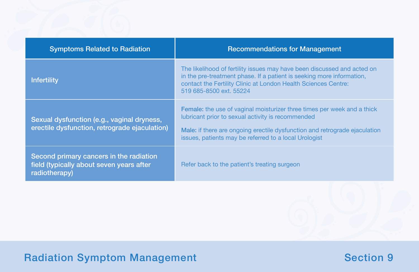| <b>Symptoms Related to Radiation</b>                                                                 | <b>Recommendations for Management</b>                                                                                                                                                                                                                                      |
|------------------------------------------------------------------------------------------------------|----------------------------------------------------------------------------------------------------------------------------------------------------------------------------------------------------------------------------------------------------------------------------|
| <b>Infertility</b>                                                                                   | The likelihood of fertility issues may have been discussed and acted on<br>in the pre-treatment phase. If a patient is seeking more information,<br>contact the Fertility Clinic at London Health Sciences Centre:<br>519 685-8500 ext. 55224                              |
| Sexual dysfunction (e.g., vaginal dryness,<br>erectile dysfunction, retrograde ejaculation)          | <b>Female:</b> the use of vaginal moisturizer three times per week and a thick<br>lubricant prior to sexual activity is recommended<br>Male: if there are ongoing erectile dysfunction and retrograde ejaculation<br>issues, patients may be referred to a local Urologist |
| Second primary cancers in the radiation<br>field (typically about seven years after<br>radiotherapy) | Refer back to the patient's treating surgeon                                                                                                                                                                                                                               |

# **Radiation Symptom Management Section 9 Access 19 Access 19 Access 19 Access 19 Access 19 Access 19 Access 19 Access 19 Access 19 Access 19 Access 19 Access 19 Access 19 Access 19 Access 19 Access 19 Access 19 Access 19 Ac**